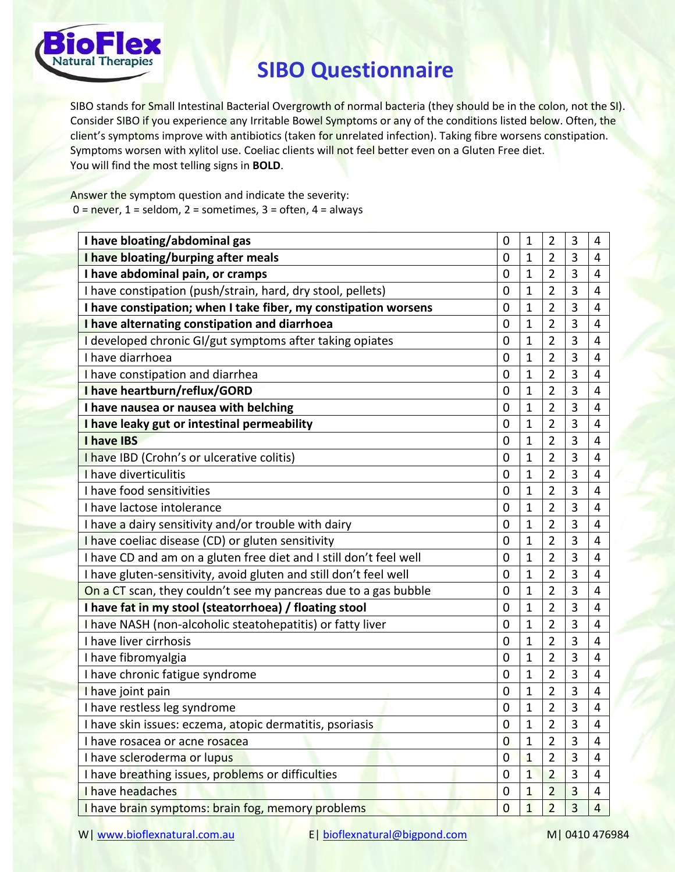

## **SIBO Questionnaire**

SIBO stands for Small Intestinal Bacterial Overgrowth of normal bacteria (they should be in the colon, not the SI). Consider SIBO if you experience any Irritable Bowel Symptoms or any of the conditions listed below. Often, the client's symptoms improve with antibiotics (taken for unrelated infection). Taking fibre worsens constipation. Symptoms worsen with xylitol use. Coeliac clients will not feel better even on a Gluten Free diet. You will find the most telling signs in **BOLD**.

Answer the symptom question and indicate the severity:  $0 =$  never,  $1 =$  seldom,  $2 =$  sometimes,  $3 =$  often,  $4 =$  always

| I have bloating/abdominal gas                                      | $\mathbf 0$    | 1              | 2              | 3              | 4              |
|--------------------------------------------------------------------|----------------|----------------|----------------|----------------|----------------|
| I have bloating/burping after meals                                | 0              | 1              | 2              | 3              | 4              |
| I have abdominal pain, or cramps                                   | $\mathbf 0$    | 1              | 2              | 3              | 4              |
| I have constipation (push/strain, hard, dry stool, pellets)        | $\overline{0}$ | 1              | $\overline{2}$ | 3              | 4              |
| I have constipation; when I take fiber, my constipation worsens    | $\mathbf 0$    | 1              | $\overline{2}$ | 3              | 4              |
| I have alternating constipation and diarrhoea                      | $\overline{0}$ | $\mathbf{1}$   | $\overline{2}$ | 3              | 4              |
| I developed chronic GI/gut symptoms after taking opiates           | $\mathbf 0$    | 1              | $\overline{2}$ | 3              | 4              |
| I have diarrhoea                                                   | $\mathbf 0$    | $\mathbf{1}$   | $\overline{2}$ | 3              | 4              |
| I have constipation and diarrhea                                   | 0              | 1              | $\overline{2}$ | 3              | 4              |
| I have heartburn/reflux/GORD                                       | $\mathbf 0$    | 1              | $\overline{2}$ | 3              | 4              |
| I have nausea or nausea with belching                              | 0              | 1              | $\overline{2}$ | 3              | 4              |
| I have leaky gut or intestinal permeability                        | $\overline{0}$ | 1              | $\overline{2}$ | 3              | 4              |
| I have IBS                                                         | 0              | 1              | 2              | 3              | 4              |
| I have IBD (Crohn's or ulcerative colitis)                         | $\mathbf 0$    | 1              | $\overline{2}$ | 3              | 4              |
| I have diverticulitis                                              | $\mathbf 0$    | 1              | $\overline{2}$ | 3              | 4              |
| I have food sensitivities                                          | $\mathbf 0$    | 1              | $\overline{2}$ | 3              | 4              |
| I have lactose intolerance                                         | 0              | 1              | $\overline{2}$ | 3              | 4              |
| I have a dairy sensitivity and/or trouble with dairy               | $\mathbf 0$    | $\mathbf{1}$   | $\overline{2}$ | 3              | 4              |
| I have coeliac disease (CD) or gluten sensitivity                  | $\mathbf 0$    | $\mathbf{1}$   | $\overline{2}$ | $\overline{3}$ | 4              |
| I have CD and am on a gluten free diet and I still don't feel well | 0              | 1              | $\overline{2}$ | 3              | 4              |
| I have gluten-sensitivity, avoid gluten and still don't feel well  | $\overline{0}$ | $\mathbf{1}$   | $\overline{2}$ | 3              | 4              |
| On a CT scan, they couldn't see my pancreas due to a gas bubble    | $\mathbf 0$    | 1              | $\overline{2}$ | 3              | 4              |
| I have fat in my stool (steatorrhoea) / floating stool             | 0              | 1              | 2              | 3              | 4              |
| I have NASH (non-alcoholic steatohepatitis) or fatty liver         | 0              | 1              | 2              | 3              | 4              |
| I have liver cirrhosis                                             | $\overline{0}$ | $\mathbf{1}$   | $\overline{2}$ | 3              | 4              |
| I have fibromyalgia                                                | $\mathbf 0$    | $\mathbf{1}$   | $\overline{2}$ | 3              | 4              |
| I have chronic fatigue syndrome                                    | $\mathbf 0$    | 1              | $\overline{2}$ | 3              | 4              |
| I have joint pain                                                  | 0              | 1              | 2              | 3              | 4              |
| I have restless leg syndrome                                       | $\mathbf 0$    | 1              | $\overline{2}$ | 3              | 4              |
| I have skin issues: eczema, atopic dermatitis, psoriasis           | $\overline{0}$ | $\overline{1}$ | $\overline{2}$ | 3              | 4              |
| I have rosacea or acne rosacea                                     | $\overline{0}$ | $\mathbf{1}$   | $\overline{2}$ | $\overline{3}$ | 4              |
| I have scleroderma or lupus                                        | 0              | $\mathbf{1}$   | $\overline{2}$ | 3              | 4              |
| I have breathing issues, problems or difficulties                  | 0              | $\mathbf{1}$   | $\overline{2}$ | 3              | 4              |
| I have headaches                                                   | 0              | 1              | $\overline{2}$ | 3              | 4              |
| I have brain symptoms: brain fog, memory problems                  | $\bf{0}$       | $\overline{1}$ | $\overline{2}$ | 3              | $\overline{4}$ |